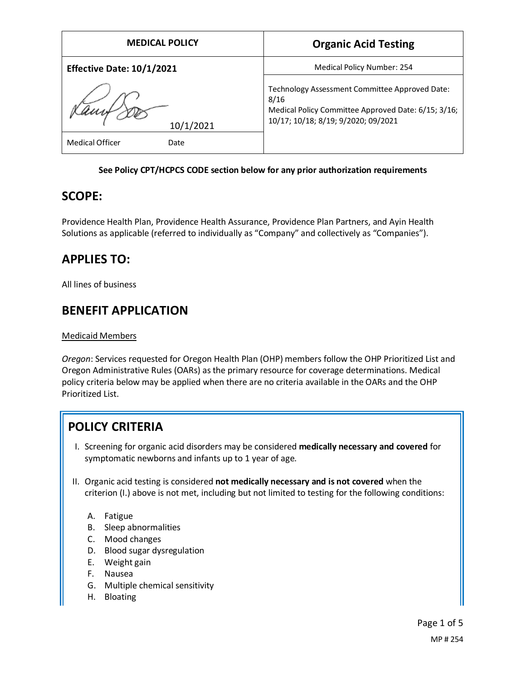| <b>MEDICAL POLICY</b>                | <b>Organic Acid Testing</b>                                                                                                                          |
|--------------------------------------|------------------------------------------------------------------------------------------------------------------------------------------------------|
| <b>Effective Date: 10/1/2021</b>     | Medical Policy Number: 254                                                                                                                           |
| 10/1/2021<br>Medical Officer<br>Date | Technology Assessment Committee Approved Date:<br>8/16<br>Medical Policy Committee Approved Date: 6/15; 3/16;<br>10/17; 10/18; 8/19; 9/2020; 09/2021 |

#### **See Policy CPT/HCPCS CODE section below for any prior authorization requirements**

### **SCOPE:**

Providence Health Plan, Providence Health Assurance, Providence Plan Partners, and Ayin Health Solutions as applicable (referred to individually as "Company" and collectively as "Companies").

# **APPLIES TO:**

All lines of business

# **BENEFIT APPLICATION**

#### Medicaid Members

*Oregon*: Services requested for Oregon Health Plan (OHP) members follow the OHP Prioritized List and Oregon Administrative Rules (OARs) as the primary resource for coverage determinations. Medical policy criteria below may be applied when there are no criteria available in the OARs and the OHP Prioritized List.

# **POLICY CRITERIA**

- I. Screening for organic acid disorders may be considered **medically necessary and covered** for symptomatic newborns and infants up to 1 year of age.
- II. Organic acid testing is considered **not medically necessary and is not covered** when the criterion (I.) above is not met, including but not limited to testing for the following conditions:
	- A. Fatigue
	- B. Sleep abnormalities
	- C. Mood changes
	- D. Blood sugar dysregulation
	- E. Weight gain
	- F. Nausea
	- G. Multiple chemical sensitivity
	- H. Bloating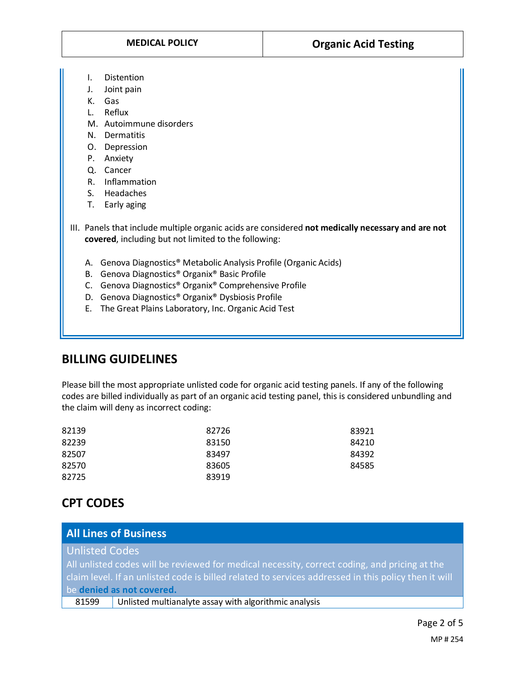- I. Distention
- J. Joint pain
- K. Gas
- L. Reflux
- M. Autoimmune disorders
- N. Dermatitis
- O. Depression
- P. Anxiety
- Q. Cancer
- R. Inflammation
- S. Headaches
- T. Early aging
- III. Panels that include multiple organic acids are considered **not medically necessary and are not covered**, including but not limited to the following:
	- A. Genova Diagnostics® Metabolic Analysis Profile (Organic Acids)
	- B. Genova Diagnostics® Organix® Basic Profile
	- C. Genova Diagnostics® Organix® Comprehensive Profile
	- D. Genova Diagnostics® Organix® Dysbiosis Profile
	- E. The Great Plains Laboratory, Inc. Organic Acid Test

### **BILLING GUIDELINES**

Please bill the most appropriate unlisted code for organic acid testing panels. If any of the following codes are billed individually as part of an organic acid testing panel, this is considered unbundling and the claim will deny as incorrect coding:

| 82726 | 83921 |
|-------|-------|
| 83150 | 84210 |
| 83497 | 84392 |
| 83605 | 84585 |
| 83919 |       |
|       |       |

## **CPT CODES**

### **All Lines of Business**

Unlisted Codes

All unlisted codes will be reviewed for medical necessity, correct coding, and pricing at the claim level. If an unlisted code is billed related to services addressed in this policy then it will be **denied as not covered.**

81599 Unlisted multianalyte assay with algorithmic analysis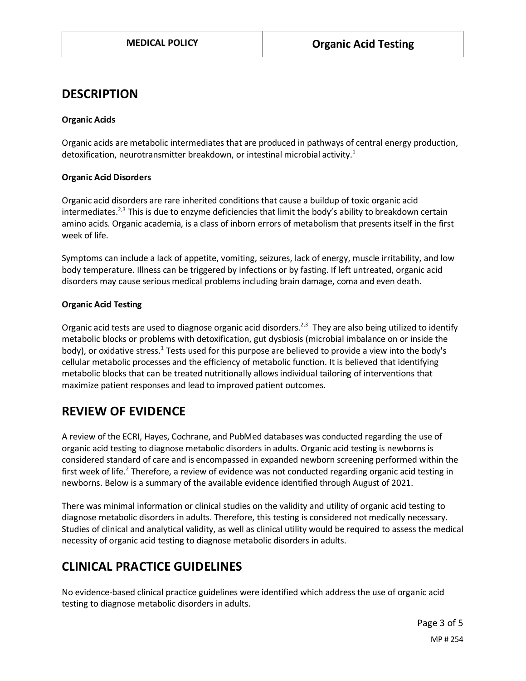### **DESCRIPTION**

#### **Organic Acids**

Organic acids are metabolic intermediates that are produced in pathways of central energy production, detoxification, neurotransmitter breakdown, or intestinal microbial activity.<sup>1</sup>

#### **Organic Acid Disorders**

Organic acid disorders are rare inherited conditions that cause a buildup of toxic organic acid intermediates.<sup>2,3</sup> This is due to enzyme deficiencies that limit the body's ability to breakdown certain amino acids. Organic academia, is a class of inborn errors of metabolism that presents itself in the first week of life.

Symptoms can include a lack of appetite, vomiting, seizures, lack of energy, muscle irritability, and low body temperature. Illness can be triggered by infections or by fasting. If left untreated, organic acid disorders may cause serious medical problems including brain damage, coma and even death.

#### **Organic Acid Testing**

Organic acid tests are used to diagnose organic acid disorders.<sup>2,3</sup> They are also being utilized to identify metabolic blocks or problems with detoxification, gut dysbiosis (microbial imbalance on or inside the body), or oxidative stress.<sup>1</sup> Tests used for this purpose are believed to provide a view into the body's cellular metabolic processes and the efficiency of metabolic function. It is believed that identifying metabolic blocks that can be treated nutritionally allows individual tailoring of interventions that maximize patient responses and lead to improved patient outcomes.

### **REVIEW OF EVIDENCE**

A review of the ECRI, Hayes, Cochrane, and PubMed databases was conducted regarding the use of organic acid testing to diagnose metabolic disorders in adults. Organic acid testing is newborns is considered standard of care and is encompassed in expanded newborn screening performed within the first week of life.<sup>2</sup> Therefore, a review of evidence was not conducted regarding organic acid testing in newborns. Below is a summary of the available evidence identified through August of 2021.

There was minimal information or clinical studies on the validity and utility of organic acid testing to diagnose metabolic disorders in adults. Therefore, this testing is considered not medically necessary. Studies of clinical and analytical validity, as well as clinical utility would be required to assess the medical necessity of organic acid testing to diagnose metabolic disorders in adults.

# **CLINICAL PRACTICE GUIDELINES**

No evidence-based clinical practice guidelines were identified which address the use of organic acid testing to diagnose metabolic disorders in adults.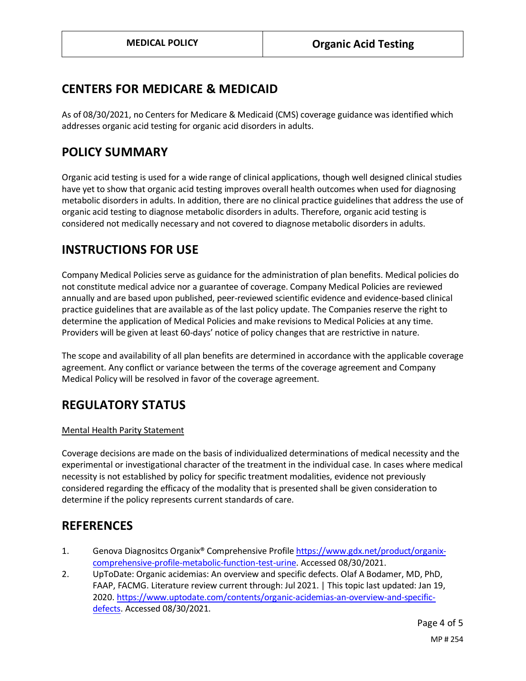### **CENTERS FOR MEDICARE & MEDICAID**

As of 08/30/2021, no Centers for Medicare & Medicaid (CMS) coverage guidance was identified which addresses organic acid testing for organic acid disorders in adults.

### **POLICY SUMMARY**

Organic acid testing is used for a wide range of clinical applications, though well designed clinical studies have yet to show that organic acid testing improves overall health outcomes when used for diagnosing metabolic disorders in adults. In addition, there are no clinical practice guidelines that address the use of organic acid testing to diagnose metabolic disorders in adults. Therefore, organic acid testing is considered not medically necessary and not covered to diagnose metabolic disorders in adults.

### **INSTRUCTIONS FOR USE**

Company Medical Policies serve as guidance for the administration of plan benefits. Medical policies do not constitute medical advice nor a guarantee of coverage. Company Medical Policies are reviewed annually and are based upon published, peer-reviewed scientific evidence and evidence-based clinical practice guidelines that are available as of the last policy update. The Companies reserve the right to determine the application of Medical Policies and make revisions to Medical Policies at any time. Providers will be given at least 60-days' notice of policy changes that are restrictive in nature.

The scope and availability of all plan benefits are determined in accordance with the applicable coverage agreement. Any conflict or variance between the terms of the coverage agreement and Company Medical Policy will be resolved in favor of the coverage agreement.

## **REGULATORY STATUS**

#### Mental Health Parity Statement

Coverage decisions are made on the basis of individualized determinations of medical necessity and the experimental or investigational character of the treatment in the individual case. In cases where medical necessity is not established by policy for specific treatment modalities, evidence not previously considered regarding the efficacy of the modality that is presented shall be given consideration to determine if the policy represents current standards of care.

### **REFERENCES**

- 1. Genova Diagnositcs Organix® Comprehensive Profil[e https://www.gdx.net/product/organix](https://www.gdx.net/product/organix-comprehensive-profile-metabolic-function-test-urine)[comprehensive-profile-metabolic-function-test-urine.](https://www.gdx.net/product/organix-comprehensive-profile-metabolic-function-test-urine) Accessed 08/30/2021.
- 2. UpToDate: Organic acidemias: An overview and specific defects. Olaf A Bodamer, MD, PhD, FAAP, FACMG. Literature review current through: Jul 2021. | This topic last updated: Jan 19, 2020[. https://www.uptodate.com/contents/organic-acidemias-an-overview-and-specific](https://www.uptodate.com/contents/organic-acidemias-an-overview-and-specific-defects)[defects.](https://www.uptodate.com/contents/organic-acidemias-an-overview-and-specific-defects) Accessed 08/30/2021.